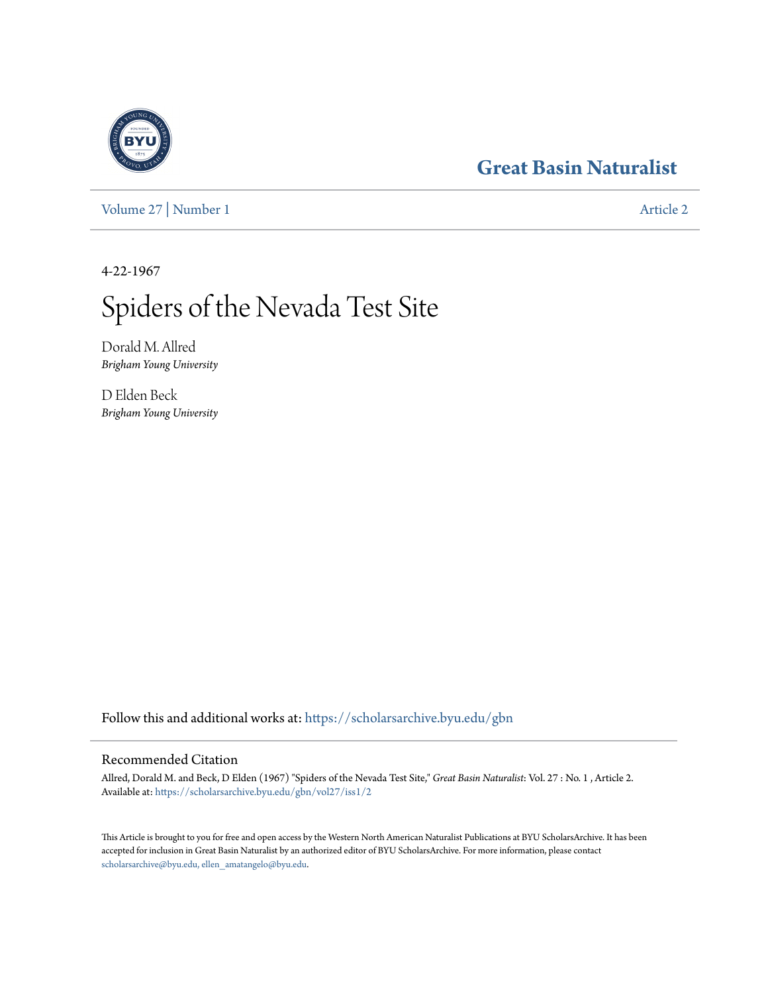## **[Great Basin Naturalist](https://scholarsarchive.byu.edu/gbn?utm_source=scholarsarchive.byu.edu%2Fgbn%2Fvol27%2Fiss1%2F2&utm_medium=PDF&utm_campaign=PDFCoverPages)**

[Volume 27](https://scholarsarchive.byu.edu/gbn/vol27?utm_source=scholarsarchive.byu.edu%2Fgbn%2Fvol27%2Fiss1%2F2&utm_medium=PDF&utm_campaign=PDFCoverPages) | [Number 1](https://scholarsarchive.byu.edu/gbn/vol27/iss1?utm_source=scholarsarchive.byu.edu%2Fgbn%2Fvol27%2Fiss1%2F2&utm_medium=PDF&utm_campaign=PDFCoverPages) [Article 2](https://scholarsarchive.byu.edu/gbn/vol27/iss1/2?utm_source=scholarsarchive.byu.edu%2Fgbn%2Fvol27%2Fiss1%2F2&utm_medium=PDF&utm_campaign=PDFCoverPages)

4-22-1967

# Spiders of the Nevada Test Site

Dorald M. Allred *Brigham Young University*

D Elden Beck *Brigham Young University*

Follow this and additional works at: [https://scholarsarchive.byu.edu/gbn](https://scholarsarchive.byu.edu/gbn?utm_source=scholarsarchive.byu.edu%2Fgbn%2Fvol27%2Fiss1%2F2&utm_medium=PDF&utm_campaign=PDFCoverPages)

### Recommended Citation

Allred, Dorald M. and Beck, D Elden (1967) "Spiders of the Nevada Test Site," *Great Basin Naturalist*: Vol. 27 : No. 1 , Article 2. Available at: [https://scholarsarchive.byu.edu/gbn/vol27/iss1/2](https://scholarsarchive.byu.edu/gbn/vol27/iss1/2?utm_source=scholarsarchive.byu.edu%2Fgbn%2Fvol27%2Fiss1%2F2&utm_medium=PDF&utm_campaign=PDFCoverPages)

This Article is brought to you for free and open access by the Western North American Naturalist Publications at BYU ScholarsArchive. It has been accepted for inclusion in Great Basin Naturalist by an authorized editor of BYU ScholarsArchive. For more information, please contact [scholarsarchive@byu.edu, ellen\\_amatangelo@byu.edu.](mailto:scholarsarchive@byu.edu,%20ellen_amatangelo@byu.edu)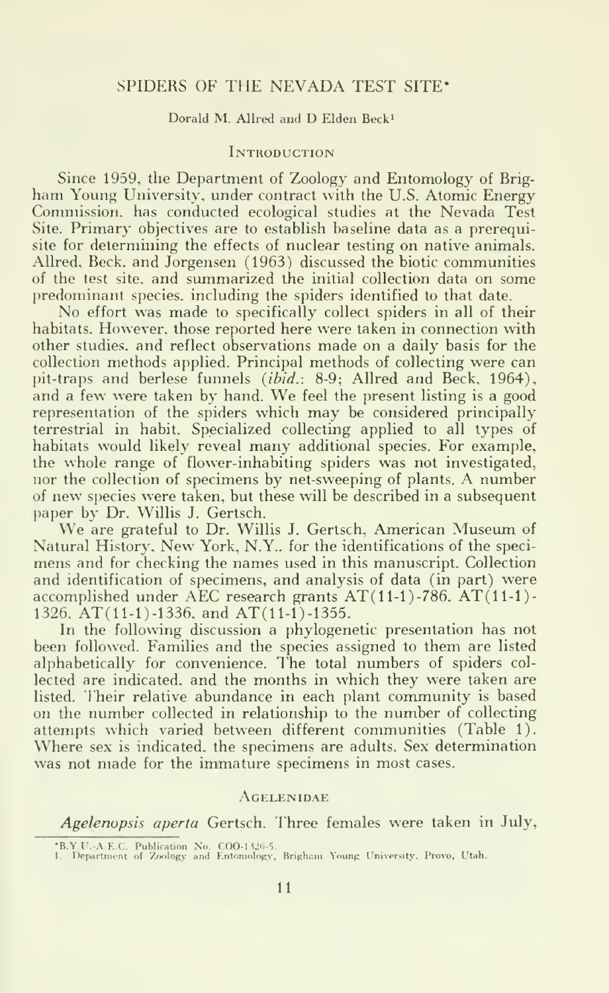#### SPIDERS OF THE NEVADA TEST SITE\*

#### Dorald M. Allred and D Elden Beck'

#### **INTRODUCTION**

Since 1959, the Department of Zoology and Entomology of Brigham Young University, under contract with the U.S. Atomic Energy Commission, has conducted ecological studies at the Nevada Test Site. Primary objectives are to establish baseline data as a prerequisite for determining the effects of nuclear testing on native animals. Allred, Beck, and Jorgensen (1963) discussed the biotic communities of the test site, and summarized the initial collection data on some predominant species, including the spiders identified to that date.

No effort was made to specifically collect spiders in all of their habitats. However, those reported here were taken in connection with other studies, and reflect observations made on a daily basis for the collection methods applied. Principal methods of collecting were can pit-traps and berlese funnels (ibid.: 8-9; Allred and Beck. 1964), and <sup>a</sup> few were taken by hand. We feel the present listing is <sup>a</sup> good representation of the spiders which may be considered principally terrestrial in habit. Specialized collecting applied to all types of habitats would likely reveal many additional species. For example, the whole range of flower-inhabiting spiders was not investigated, nor the collection of specimens by net-sweeping of plants. A number of new species were taken, but these will be described in <sup>a</sup> subsequent paper by Dr. Willis J. Gertsch.

We are grateful to Dr. Willis J. Gertsch, American Museum of Natural History, New York, N.Y.. for the identifications of the speci mens and for checking the names used in this manuscript. Collection and identification of specimens, and analysis of data (in part) were accomplished under AEC research grants  $AT(11-1)-786$ .  $AT(11-1)-$ 1326. AT(11-1)-1336. and AT(11-1)-1355.

In the following discussion a phylogenetic presentation has not been followed. Families and the species assigned to them are listed alphabetically for convenience. The total numbers of spiders col lected are indicated, and the months in which they were taken are listed. Their relative abundance in each plant community is based on the number collected in relationship to the number of collecting attempts which varied between different communities (Table 1). Where sex is indicated, the specimens are adults. Sex determination was not made for the immature specimens in most cases.

#### Agelenidae

Agelenopsis aperta Gertsch. Fhree females were taken in July,

<sup>\*</sup>B.Y.U.-A.E.C. Publication No. COO-1326-5.<br>1. Department of Zoology and Entomology, Brigham Young University. Provo, Utah.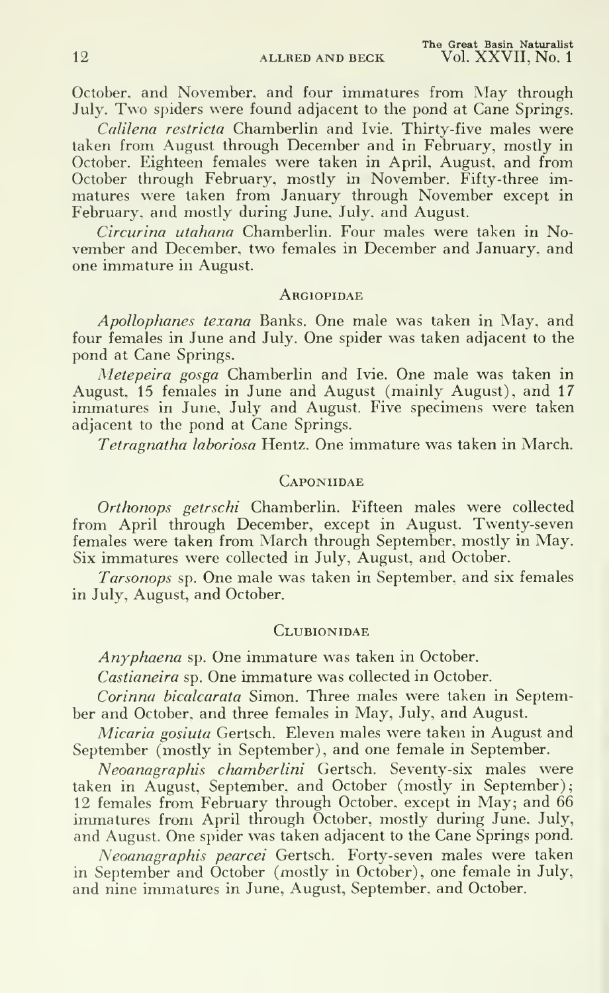October, and November, and four immatures from May through July. Two spiders were found adjacent to the pond at Cane Springs.

Calilena restricta Chamberlin and Ivie. Thirty-five males were taken from August through December and in February, mostly in October. Eighteen females were taken in April, August, and from October through February, mostly in November. Fifty-three immatures were taken from January through November except in February, and mostly during June, July, and August.

Circurina utahana Chamberlin. Four males were taken in November and December, two females in December and January, and one immature in August.

#### **ARGIOPIDAE**

Apollophanes texana Banks. One male was taken in May. and four females in June and July. One spider was taken adjacent to the pond at Cane Springs.

Metepeira gosga Chamberlin and Ivie. One male was taken in August. 15 females in June and August (mainly August), and 17 immatures in June, July and August. Five specimens were taken adjacent to the pond at Cane Springs.

Tetragnatha laboriosa Hentz. One immature was taken in March.

#### **CAPONIIDAE**

Orthonops getrschi Chamberlin. Fifteen males were collected from April through December, except in August. Twenty-seven females were taken from March through September, mostly in May. Six immatures were collected in July, August, and October.

Tarsonops sp. One male was taken in September, and six females in July, August, and October.

#### **CLUBIONIDAE**

Anyphaena sp. One immature was taken in October.

Castianeira sp. One immature was collected in October.

Corinna bicalcarata Simon. Three males were taken in September and October, and three females in May, July, and August.

Micaria gosiuta Gertsch. Eleven males were taken in August and September (mostly in September), and one female in September.

Neoanagraphis chamberlini Gertsch. Seventy-six males were taken in August, September, and October (mostly in September); 12 females from February through October, except in May; and 66 immatures from April through October, mostly during June, July, and August. One spider was taken adjacent to the Cane Springs pond.

Neoanagraphis pearcei Gertsch. Forty-seven males were taken in September and October (mostly in October), one female in July, and nine immatures in June, August, September, and October.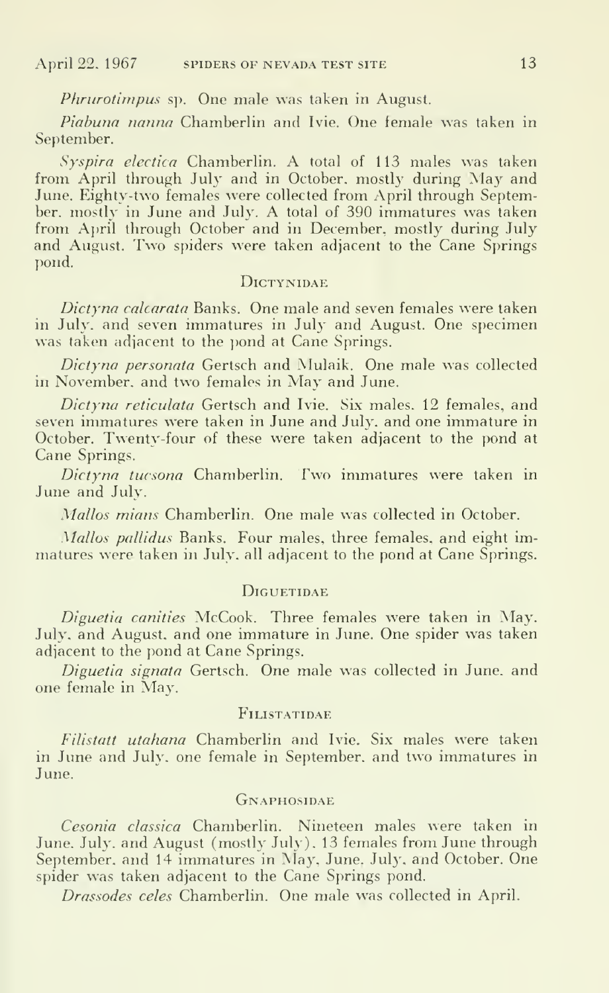Phrurotimpus sp. One male was taken in August.

Piabuna nanna Chamberlin and Ivie. One female was taken in September.

Syspira electica Chamberlin. A total of <sup>113</sup> males was taken from April through July and in October, mostly during May and June. Eighty-two females were collected from April through September, mostly in June and July. A total of <sup>390</sup> immatures was taken from April through October and in December, mostly during July and August. Two spiders were taken adjacent to the Cane Springs pond.

#### DiCTYNIDAE

Dictyna calcarata Banks. One male and seven females were taken in July, and seven immatures in July and August. One specimen was taken adjacent to the pond at Cane Springs.

Dictyna personata Gertsch and Mulaik. One male was collected in November, and two females in May and June.

Dictyna reticulata Gertsch and Ivie. Six males. 12 females, and seven immatures were taken in June and July, and one immature in October. Twenty-four of these were taken adjacent to the pond at Cane Springs.

Dictyna tucsona Chamberlin. Two immatures were taken in June and July.

Mallos mians Chamberlin. One male was collected in October.

Mallos pallidus Banks. Four males, three females, and eight immatures were taken in July, all adjacent to the pond at Cane Springs.

#### **DIGUETIDAE**

Diguetia canities McCook. Three females were taken in May. July, and August, and one immature in June. One spider was taken adjacent to the pond at Cane Springs.

Diguetia signata Gertsch. One male was collected in June, and one female in May.

#### FiLISTATIDAE

Filistatt utahana Chamberlin and Ivie. Six males were taken in June and July, one female in September, and two immatures in June.

#### **GNAPHOSIDAE**

Cesonia classica Chamberlin. Nineteen males were taken in June. July, and August (mostly July). 13 females from June through September, and 14 immatures in May, June. July, and October. One spider was taken adjacent to the Cane Springs pond.

Drassodes celes Chamberlin. One male was collected in April.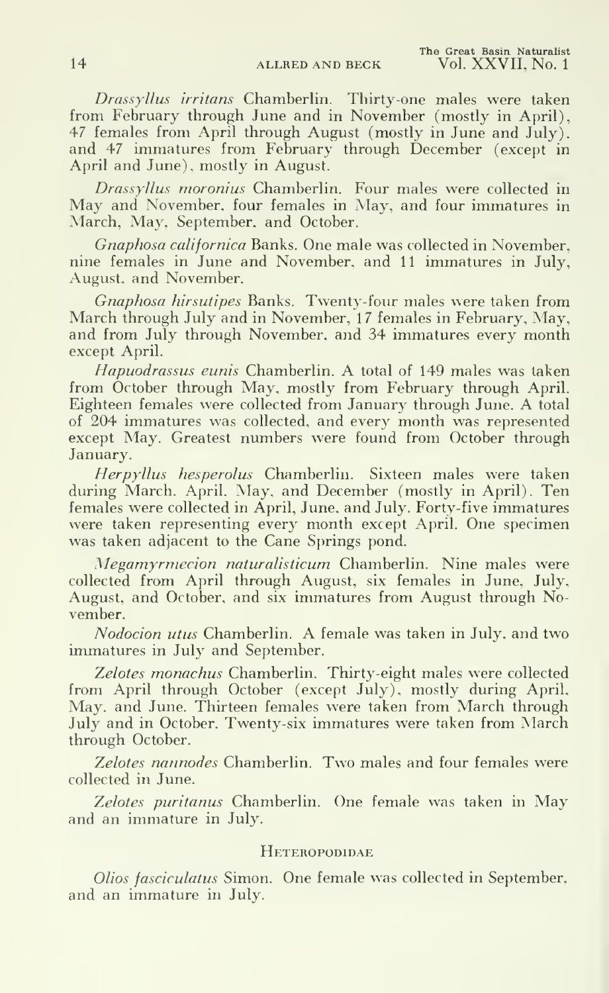Drassyllus irritans Chamberlin. Thirty-one males were taken from February through June and in November (mostly in April), 47 females from April through August (mostly in June and July). and 47 immatures from February through December (except in April and June), mostly in August.

Drassyllus moronius Chamberlin. Four males were collected in May and November, four females in May, and four immatures in March, May, September, and October.

Gnaphosa californica Banks. One male was collected in November, nine females in June and November, and 11 immatures in July, August, and November.

Gnaphosa hirsutipes Banks. Twenty-four males were taken from March through July and in November, 17 females in February, May, and from July through November, and 34 immatures every month except April.

Hapuodrassus eunis Chamberlin. A total of <sup>149</sup> males was taken from October through May. mostly from February through April. Eighteen females were collected from January through June. A total of 204 immatures was collected, and every month was represented except May. Greatest numbers were found from October through January.

Herpyllus hesperolus Chamberlin. Sixteen males were taken during March, April. May, and December (mostly in April). Ten females were collected in April, June, and July. Forty-five immatures were taken representing every month except April. One specimen was taken adjacent to the Cane Springs pond.

Megamyrmecion naturalisticum Chamberlin. Nine males were collected from April through August, six females in June. July, August, and October, and six immatures from August through November.

Nodocion utus Chamberlin. A female was taken in July, and two immatures in July and September.

Zelotes monachus Chamberlin. Thirty-eight males were collected from April through October (except July), mostly during April, May. and June. Thirteen females were taken from March through July and in October. Twenty-six immatures were taken from March through October.

Zelotes nannodes Chamberlin. Two males and four females were collected in June.

Zelotes puritanus Chamberlin. One female was taken in May and an immature in July.

#### **HETEROPODIDAE**

Olios fasciculatus Simon. One female was collected in September, and an immature in July.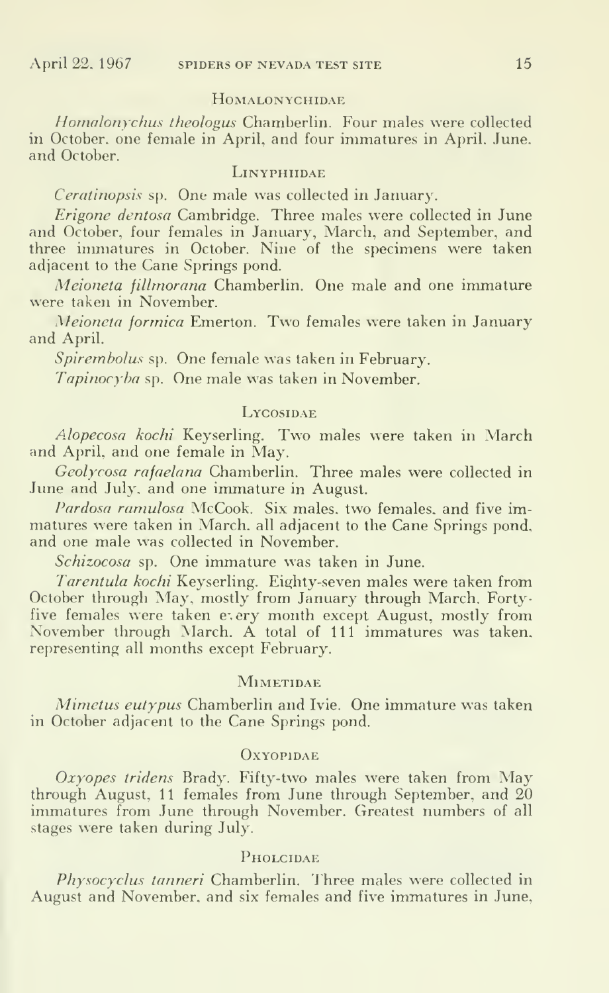#### HOMALONYCHIDAE

Homalonychus theologus Chamberlin. Four males were collected in October, one female in April, and four immatures in April, June, and October.

#### **LINYPHIIDAE**

Ceratinopsis sp. One male was collected in January.

Erigone dentosa Cambridge. Three inales were collected in June and October, four females in January, March, and September, and three inmiatures in October. Nine of the specimens were taken adjacent to the Cane Springs pond.

Meioneta fillmorana Chamberlin. One male and one immature were taken in November.

Meioneta formica Emerton. Two females were taken in January and April.

Spirembolus sp. One female was taken in February.

Tapinocyha sp. One male was taken in November.

#### **Lycostnae**

Alopecosa kochi Keyserling. Two males were taken in March and April, and one female in May.

Geolycosa rafaelana Chamberlin. Three males were collected in June and July, and one immature in August.

Pardosa ramulosa McCook. Six males, two females, and five immatures were taken in March, all adjacent to the Cane Springs pond, and one male was collected in November.

Schizocosa sp. One immature was taken in June.

Tarentula kochi Keyserling. Eighty-seven males were taken from October through May. mostly from January through March. Forty five females were taken every month except August, mostly from November through March. A total of <sup>111</sup> immatures was taken, representing all months except February.

#### **MIMETIDAE**

Mimetus eutypus Chamberlin and Ivie. One immature was taken in October adjacent to the Cane Springs pond.

#### **OXYOPIDAE**

Oxyopes tridens Brady. Fifty-two males were taken from May through August, 11 females from June through September, and 20 immatures from June through November. Greatest numbers of all stages were taken during July.

#### **PHOLCIDAE**

Physocyclus tanneri Chamberlin. Three males were collected in August and November, and six females and five immatures in June,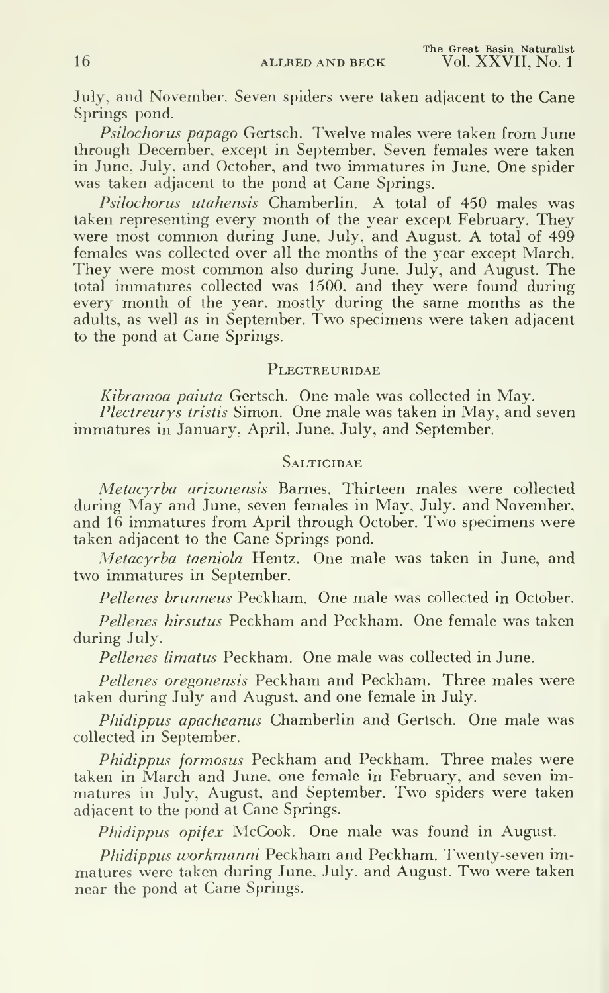July, and November. Seven spiders were taken adjacent to the Cane Springs pond.

Psilochorus papago Gertsch. Twelve males were taken from June through December, except in September. Seven females were taken in June, July, and October, and two immatures in June. One spider was taken adjacent to the pond at Cane Springs.

Psilochorus utahensis Chamberlin. A total of 450 males was taken representing every month of the year except February. They were most common during June, July, and August. A total of 499 females was collected over all the months of the year except March. They were most common also during June, July, and August. The total immatures collected was 1500. and they were found during every month of the year, mostly during the same months as the adults, as well as in September. Two specimens were taken adjacent to the pond at Cane Springs.

#### **PLECTREURIDAE**

Kibramoa paiuta Gertsch. One male was collected in May.

Plectreury's tristis Simon. One male was taken in May, and seven immatures in January, April, June, July, and September.

#### **SALTICIDAE**

Metacyrba arizonensis Barnes. Thirteen males were collected during May and June, seven females in May, July, and November, and <sup>16</sup> immatures from April through October. Two specimens were taken adjacent to the Cane Springs pond.

Metacyrba taeniola Hentz. One male was taken in June, and two immatures in September.

Pellenes brunneus Peckham. One male was collected in October.

Pellenes hirsutus Peckham and Peckham. One female was taken during July.

Pellenes limatus Peckham. One male was collected in June.

Pellenes oregonensis Peckham and Peckham. Three males were taken during July and August, and one female in July.

Phidippus apacheanus Chamberlin and Gertsch. One male was collected in September.

Phidippus formosus Peckham and Peckham. Three males were taken in March and June, one female in February, and seven immatures in July, August, and September. Two spiders were taken adjacent to the pond at Cane Springs.

Phidippus opifex McCook. One male was found in August.

Phidippus workmanni Peckham and Peckham. Twenty-seven immatures were taken during June. July, and August. Two were taken near the pond at Cane Springs.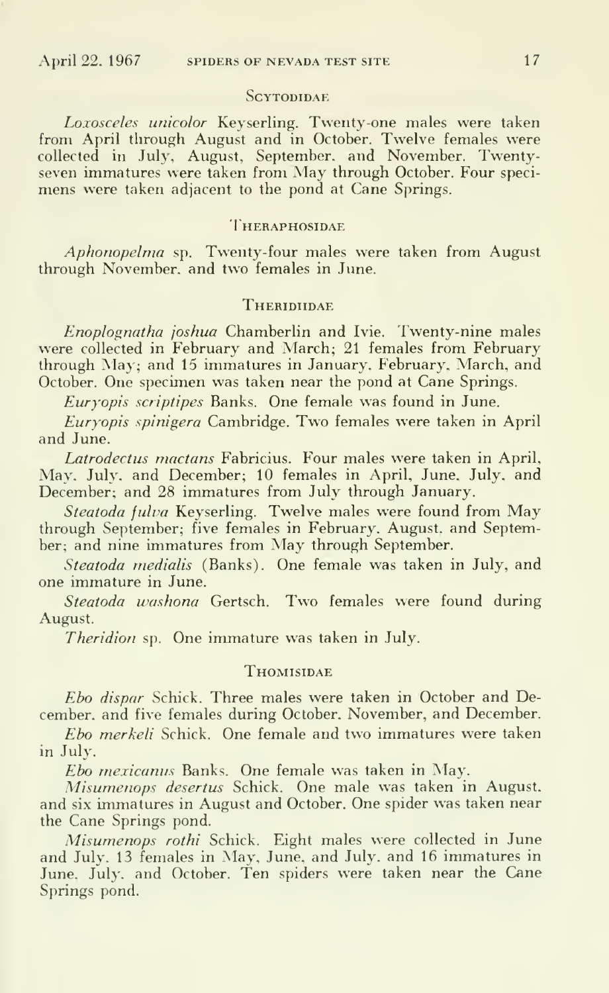#### SCYTODIDAE.

Loxosceles unicolor Keyserling. Twenty-one males were taken from April through August and in October. Twelve females were collected in July. August, September, and November. Twentyseven immatures were taken from May through October. Four speci mens were taken adjacent to the pond at Cane Springs.

#### **THERAPHOSIDAE**

Aphonopelma sp. Twenty-four males were taken from August through November, and two females in June.

#### **THERIDIIDAE**

Enoplognatha joshua Chamberlin and Ivie. Twenty-nine males were collected in February and March; 21 females from February through May; and 15 immatures in January. February, March, and October. One specimen was taken near the pond at Cane Springs.

Euryopis scriptipes Banks. One female was found in June.

Euryopis spinigera Cambridge. Two females were taken in April and June.

Latrodectus mactans Fabricius. Four males were taken in April, May. July, and December; 10 females in April, June. July, and December; and 28 immatures from July through January.

Steatoda fulva Keyserling. Twelve males were found from May through September; five females in February. August, and September; and nine immatures from May through September.

Steatoda medialis (Banks). One female was taken in July, and one immature in June.

Steatoda washona Gertsch. Two females were found during August.

Theridion sp. One immature was taken in July.

#### **THOMISIDAE**

Ebo dispar Schick. Three males were taken in October and December, and five females during October. November, and December.

Ebo merkeli Schick. One female and two immatures were taken in July.

Ebo mexicanus Banks. One female was taken in May.

Misumenops desertus Schick. One male was taken in August, and six immatures in August and October. One spider was taken near the Cane Springs pond.

Misumenops rothi Schick. Eight males were collected in June and July. 13 females in May, June, and July, and 16 immatures in June. July, and October. Ten spiders were taken near the Cane Springs pond.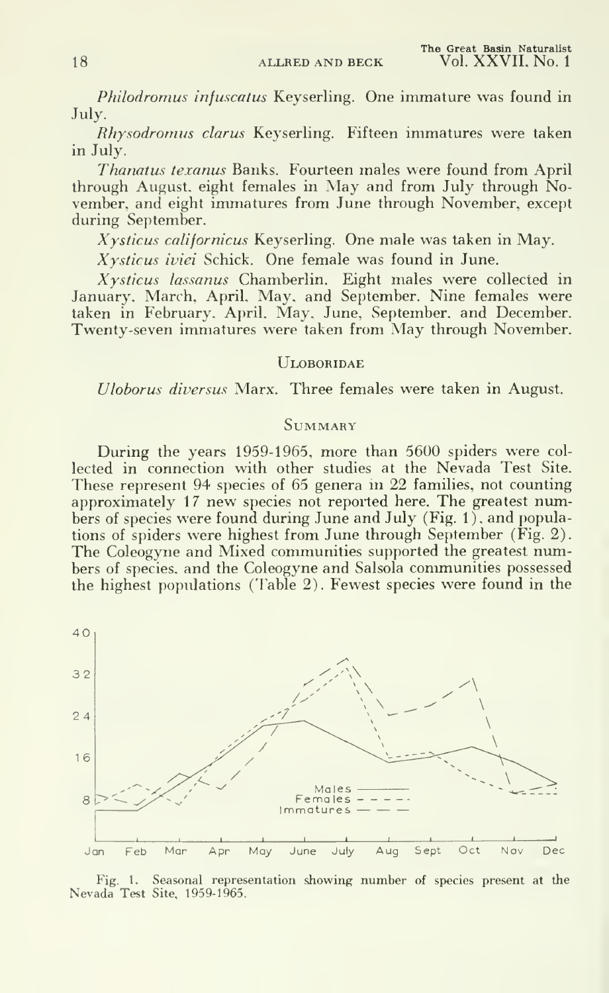Philodromus infuscatus Keyserling. One immature was found in July.

Rhysodromus clarus Keyserling. Fifteen immatures were taken in July.

Thanatus texanus Banks. Fourteen males were found from April through August, eight females in May and from July through November, and eight immatures from June through November, except during September.

Xysticus californicus Keyserling. One male was taken in May.

Xysticus iviei Schick. One female was found in June.

Xysticus lassanus Chamberlin. Eight males were collected in January, March, April, May, and September. Nine females were taken in February. April. May. June, September, and December. Twenty-seven immatures were taken from May through November.

#### **ULOBORIDAE**

Uloborus diversus Marx. Three females were taken in August.

#### **SUMMARY**

During the years 1959-1965, more than 5600 spiders were col lected in connection with other studies at the Nevada Test Site. These represent 94 species of 65 genera in 22 families, not counting approximately 17 new species not reported here. The greatest numbers of species were found during June and July (Fig. 1), and populations of spiders were highest from June through September (Fig. 2). The Coleogyne and Mixed communities supported the greatest numbers of species, and the Coleogyne and Salsola communities possessed the highest populations (Table 2). Fewest species were found in the



Fig. 1. Seasonal representation showing number of species present at the Nevada Test Site, 1959-1965.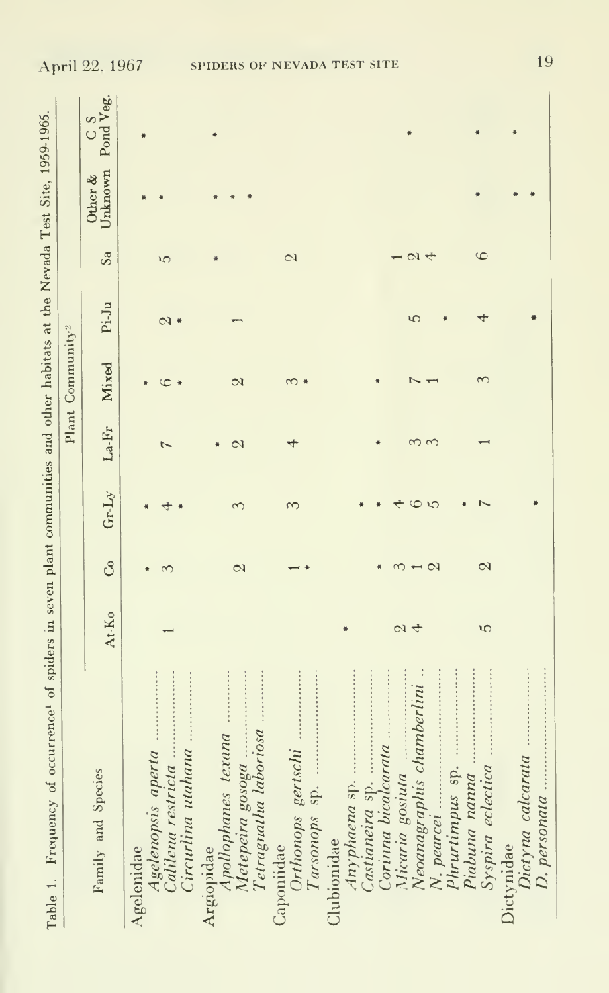| Table 1. Frequency of occurrence <sup>1</sup> of spiders in seven plant communities and other habitats at the Nevada Test Site, 1959-1965. |                    |                          |         |                   |                              |        |               |         |                            |
|--------------------------------------------------------------------------------------------------------------------------------------------|--------------------|--------------------------|---------|-------------------|------------------------------|--------|---------------|---------|----------------------------|
|                                                                                                                                            |                    |                          |         |                   | Plant Community <sup>2</sup> |        |               |         |                            |
| Family and Species                                                                                                                         | At-Ko              | 8                        | $Gr-Ly$ | $La-Fr$           | Mixed                        | Pi-Ju  | Sa            | Other & | Unknown Pond Veg.<br>$C$ S |
| Circurlina utahana<br>Calilena restricta<br>Agelenopsis aperta<br>Agelenidae                                                               |                    |                          |         |                   |                              | $\sim$ | S             |         |                            |
| Tetragnatha laboriosa<br>Metepeira gosoga<br>Apollophanes texana<br>Argiopidae                                                             |                    | $\infty$                 | S       | $\mathbf{\Omega}$ | $\mathbf{\Omega}$            |        |               |         |                            |
| Orthonops gertschi<br>Tarsonops sp.<br>Caponiidae                                                                                          |                    |                          |         | 4                 | $\sim$                       |        | $\mathcal{Q}$ |         |                            |
| Castianeira sp.<br>Anyphaena sp.<br>Clubionidae                                                                                            |                    |                          |         |                   |                              |        |               |         |                            |
| Neoanagraphis chamberlini<br>Micaria gostuta<br>$N.$ pearcer                                                                               | $\mathcal{Q}$<br>4 | $\mathbf{\Omega}$        |         |                   |                              | ఱ      | $\alpha$ 4    |         |                            |
| Syspira eclectica<br>Phrurtimpus sp.<br>Piabuna nanna                                                                                      | າດ                 | $\overline{\mathcal{C}}$ |         |                   | 3                            | 4      | 6             |         |                            |
| Dictyna calcarata<br>$D.$ personata<br>Dictymdae                                                                                           |                    |                          |         |                   |                              |        |               |         |                            |

19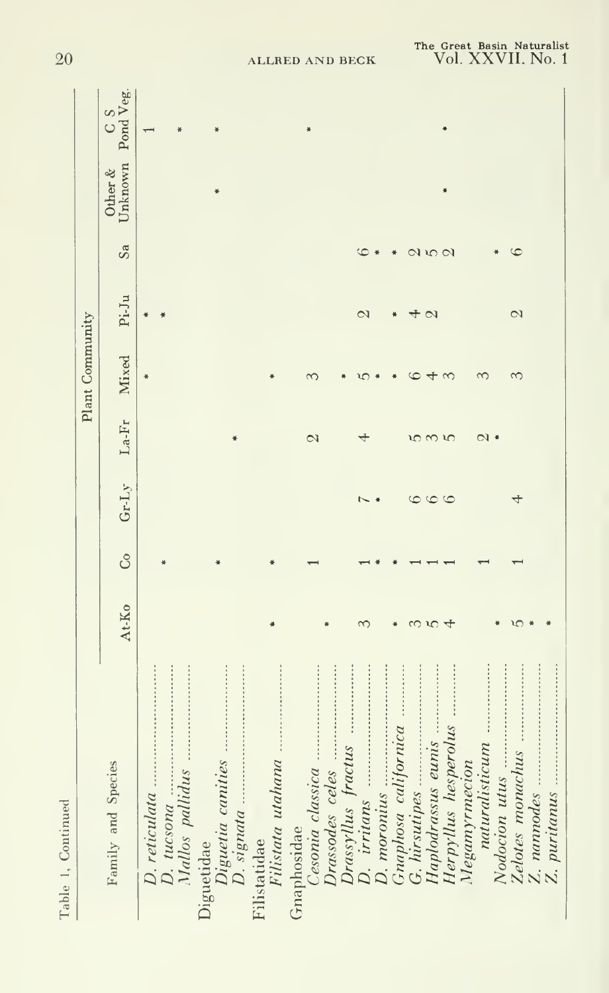| Table 1, Continued   |       |    |         |                |                 |                          |               |                                                                          |
|----------------------|-------|----|---------|----------------|-----------------|--------------------------|---------------|--------------------------------------------------------------------------|
|                      |       |    |         |                | Plant Community |                          |               |                                                                          |
| Family and Species   | At-Ko | රි | Gr.Ly   | $La-Fr$        | Mixed           | $Pi - Ju$                | Sa            | $\begin{tabular}{ll} Other & C & S \\ Unknown & Pond Veg. \end{tabular}$ |
| D. reticulata        |       |    |         |                |                 |                          |               |                                                                          |
| D. tucsona           |       |    |         |                |                 |                          |               |                                                                          |
| Mallos pallidus      |       |    |         |                |                 |                          |               |                                                                          |
| Diguetidae           |       |    |         |                |                 |                          |               |                                                                          |
|                      |       |    |         |                |                 |                          |               |                                                                          |
|                      |       |    |         |                |                 |                          |               |                                                                          |
| Filistatidae         |       |    |         |                |                 |                          |               |                                                                          |
| Filistata utahana    |       |    |         |                |                 |                          |               |                                                                          |
| Gnaphosidae          |       |    |         |                |                 |                          |               |                                                                          |
| Cesonia classica.    |       |    |         | $\mathcal{Q}$  | 3               |                          |               |                                                                          |
| Drassodes celes      |       |    |         |                |                 |                          |               |                                                                          |
| Drassyllus fractus   |       |    |         |                |                 |                          |               |                                                                          |
| D. irritans          | ∞     |    |         |                |                 | $\overline{\mathcal{C}}$ | G             |                                                                          |
| $D.$ moronus         |       |    |         |                |                 |                          |               |                                                                          |
| Graphosa californica |       |    |         |                |                 |                          |               |                                                                          |
| G. hirsutipes        |       |    | 6       | ഗ              |                 | $4~\circ$                |               |                                                                          |
| Haplodrassus eunis   | w     |    | $\circ$ | $\infty$       |                 |                          | $Q$ is $Q$    |                                                                          |
| Herpyllus hesperolus |       |    |         | $\mathfrak{t}$ |                 |                          |               |                                                                          |
| Megamyrmecion        |       |    |         |                |                 |                          |               |                                                                          |
| naturalisticum       |       |    |         | $\mathcal{Q}$  | S               |                          |               |                                                                          |
| Nodocion utus        |       |    |         |                |                 |                          |               |                                                                          |
| Zelotes monachus     |       |    | 4       |                | $\infty$        | $\overline{\mathcal{C}}$ | $\mathfrak c$ |                                                                          |
| Z. nannodes          |       |    |         |                |                 |                          |               |                                                                          |
| Z. puritanus.        |       |    |         |                |                 |                          |               |                                                                          |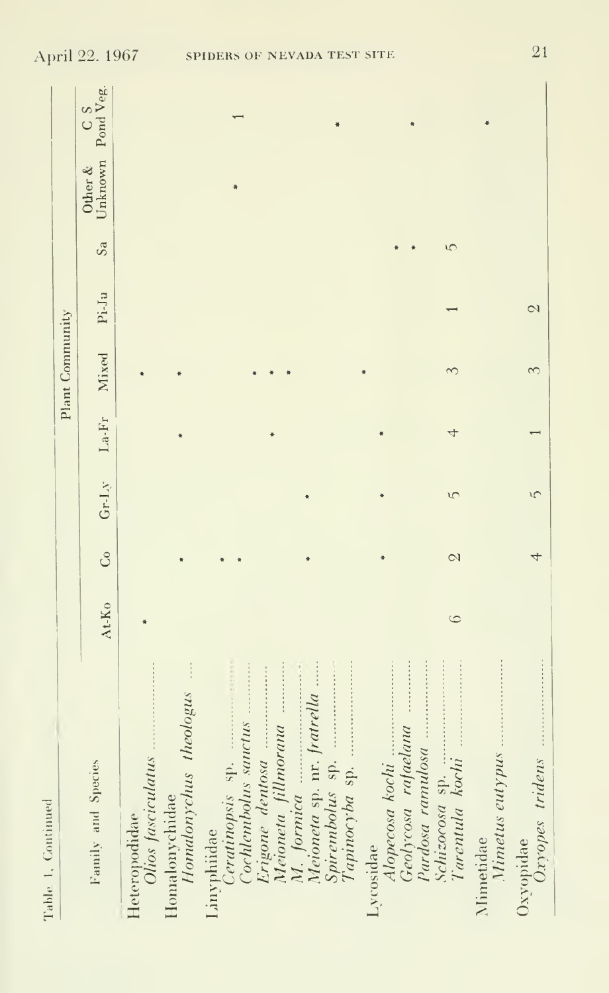| Table 1, Continued                                        |         |                          |    |                   |                 |                |    |         |                        |
|-----------------------------------------------------------|---------|--------------------------|----|-------------------|-----------------|----------------|----|---------|------------------------|
|                                                           |         |                          |    |                   | Plant Community |                |    |         |                        |
| Family and Species                                        | At-Ko   | Co                       |    | Gr-Ly La-Fr Mixed |                 | $Pi-Ja$        | Sa | Other & | Unknown Pond Veg.<br>S |
| Olios fasciculatus<br>Heteropodidae                       |         |                          |    |                   |                 |                |    |         |                        |
| $\frac{1}{2}$<br>Homalonychus theologus<br>Homalonychidae |         |                          |    |                   |                 |                |    |         |                        |
| Ceratinopsis sp.<br>Cochlembolus sauctus<br>Linvphiidae   |         |                          |    |                   |                 |                |    |         |                        |
| Erigone dentosa<br>Meioneta fillmorana<br>M. formica      |         |                          |    |                   |                 |                |    |         |                        |
| Meioneta sp. nr. fratrella<br>Spirembolus sp.             |         |                          |    |                   |                 |                |    |         |                        |
| Alopecosa kochi<br>Lycosidae                              |         |                          |    |                   |                 |                |    |         |                        |
| Geolycosa rafaelana<br>Pardosa ramulosa<br>Schizocosa sp. | $\circ$ | $\overline{\mathcal{C}}$ | S  |                   |                 |                | S  |         |                        |
| Tarentula kochi<br>Mimetus eutypus<br>Nimetidae           |         |                          |    |                   |                 |                |    |         |                        |
| Oxyopes tridens<br>Oxvopidae                              |         |                          | īζ |                   | 3               | $\mathbb{C}^1$ |    |         |                        |

21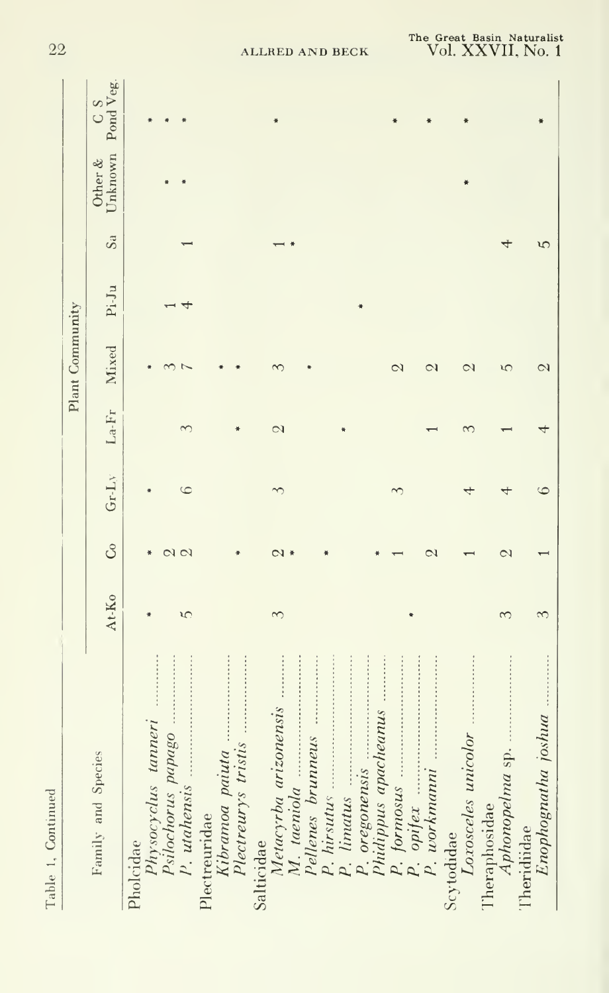| Table 1, Continued           |       |                        |            |              |                 |       |    |                    |                    |
|------------------------------|-------|------------------------|------------|--------------|-----------------|-------|----|--------------------|--------------------|
|                              |       |                        |            |              | Plant Community |       |    |                    |                    |
| Family and Species           | At-Ko | $\mathcal{S}$          | $Gr-LY$    | $La-Fr$      | Mixed           | Pi-Ju | Sa | Unknown<br>Other & | Pond Veg.<br>$S$ O |
| Pholcidae                    |       |                        |            |              |                 |       |    |                    |                    |
| Physocyclus tanneri          |       |                        |            |              |                 |       |    |                    |                    |
| Psilochorus papago           |       |                        |            |              |                 |       |    |                    |                    |
| P. utahensis                 | S     | $\alpha$               | $\epsilon$ |              |                 |       |    |                    |                    |
| Plectreuridae                |       |                        |            |              |                 |       |    |                    |                    |
| Kibramoa paiuta              |       |                        |            |              |                 |       |    |                    |                    |
| Plectreurys tristis          |       |                        |            |              |                 |       |    |                    |                    |
| Salticidae                   |       |                        |            |              |                 |       |    |                    |                    |
| Metacyrba arizonensis        | 3     | $\mathcal{C}$          |            | $\mathbb{C}$ |                 |       |    |                    |                    |
| M. taeniola                  |       |                        |            |              |                 |       |    |                    |                    |
| Pellenes brunneus            |       |                        |            |              |                 |       |    |                    |                    |
|                              |       |                        |            |              |                 |       |    |                    |                    |
| P. limatus                   |       |                        |            |              |                 |       |    |                    |                    |
| P. oregonensis               |       |                        |            |              |                 |       |    |                    |                    |
| Phidippus apacheanus         |       |                        |            |              |                 |       |    |                    |                    |
| formosus<br>$\overline{P}$ . |       |                        |            |              | $\mathcal{Q}$   |       |    |                    |                    |
| $P.$ opifex                  |       |                        |            |              |                 |       |    |                    |                    |
| $P.$ workmann                |       | $\mathrel{\mathsf{c}}$ |            |              | $\mathcal{Q}$   |       |    |                    |                    |
| Scytodidae                   |       |                        |            |              |                 |       |    |                    |                    |
| Loxosceles unicolor          |       |                        |            |              | $\mathcal{Q}$   |       |    |                    |                    |
| Theraphosidae                |       |                        |            |              |                 |       |    |                    |                    |
| Aphonopelma sp               | 3     | $\mathbb{C}^1$         |            |              | ١Ċ              |       |    |                    |                    |
| Theridiidae                  |       |                        |            |              |                 |       |    |                    |                    |
| Enophognatha joshua          |       |                        |            |              | $\mathbb{C}$    |       | ٣  |                    |                    |

22

ALLRED AND BECK

The Great Basin Naturalist<br>Vol. XXVII, No. 1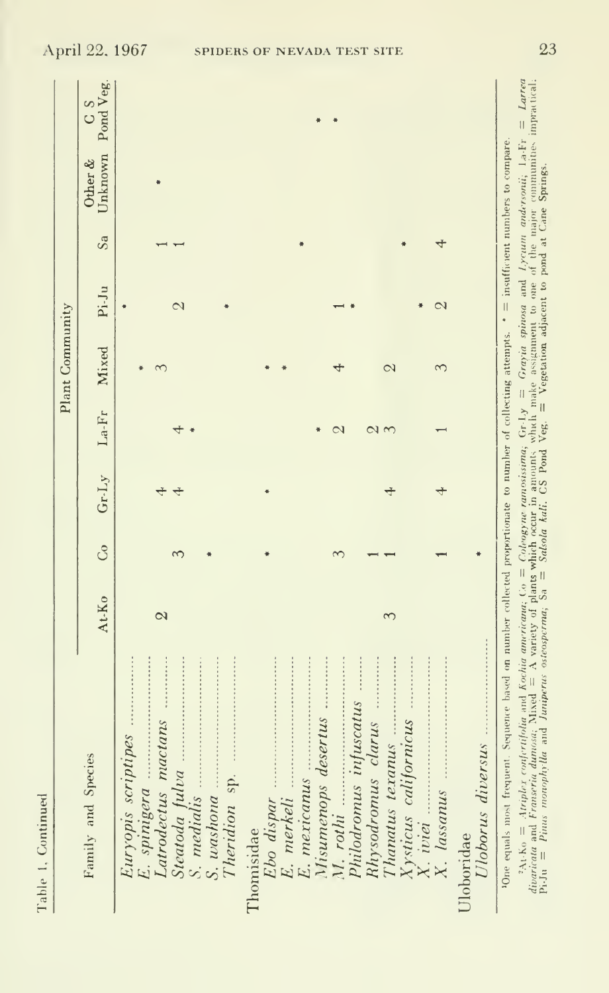| ¢<br>t        |
|---------------|
| $\frac{1}{1}$ |
| Ĵ             |
|               |
|               |
|               |
|               |
|               |
|               |

|                                                                                                                                                     |                   |   |       |         | Plant Community |               |    |                             |               |
|-----------------------------------------------------------------------------------------------------------------------------------------------------|-------------------|---|-------|---------|-----------------|---------------|----|-----------------------------|---------------|
| Family and Species                                                                                                                                  | At-Ko             | ි | Gr.Ly | $La-Fr$ | Mixed           | $Pi \cdot Ju$ | Sa | Unknown Pond Veg<br>Other & | $\frac{8}{2}$ |
| Euryopis scriptipes<br>E. spinigera                                                                                                                 |                   |   |       |         |                 |               |    |                             |               |
| Latrodectus mactans                                                                                                                                 | $\mathbf{\Omega}$ |   |       |         |                 |               |    |                             |               |
| Steatoda fulva<br>S. medialis                                                                                                                       |                   |   |       |         |                 | $\sim$        |    |                             |               |
| S. washona<br>Theridion sp.                                                                                                                         |                   |   |       |         |                 |               |    |                             |               |
| Thomisidae                                                                                                                                          |                   |   |       |         |                 |               |    |                             |               |
| <b>.</b><br>.<br>Ebo dispar<br>E. merkeli                                                                                                           |                   |   |       |         |                 |               |    |                             |               |
| Misumenops desertus<br>E. mexicanus                                                                                                                 |                   |   |       |         |                 |               |    |                             |               |
| M. rothi                                                                                                                                            |                   |   |       |         |                 |               |    |                             |               |
| Philodromus infuscatus                                                                                                                              |                   |   |       |         |                 |               |    |                             |               |
| Rhysodromus clarus                                                                                                                                  |                   |   |       |         |                 |               |    |                             |               |
| Thanatus texanus                                                                                                                                    |                   |   |       | $\sim$  | $\infty$        |               |    |                             |               |
| Xysticus californicus<br>$X.$ iviei                                                                                                                 |                   |   |       |         |                 |               |    |                             |               |
| X. lassanus                                                                                                                                         |                   |   |       |         | $\infty$        | CJ            |    |                             |               |
| Uloborus diversus<br>Uloboridae                                                                                                                     |                   |   |       |         |                 |               |    |                             |               |
| 40ne equals most frequent. Sequence based on number collected proportionate to number of collecting attempts. $* =$ insufficient numbers to compare |                   |   |       |         |                 |               |    |                             |               |
|                                                                                                                                                     |                   |   |       |         |                 |               |    |                             |               |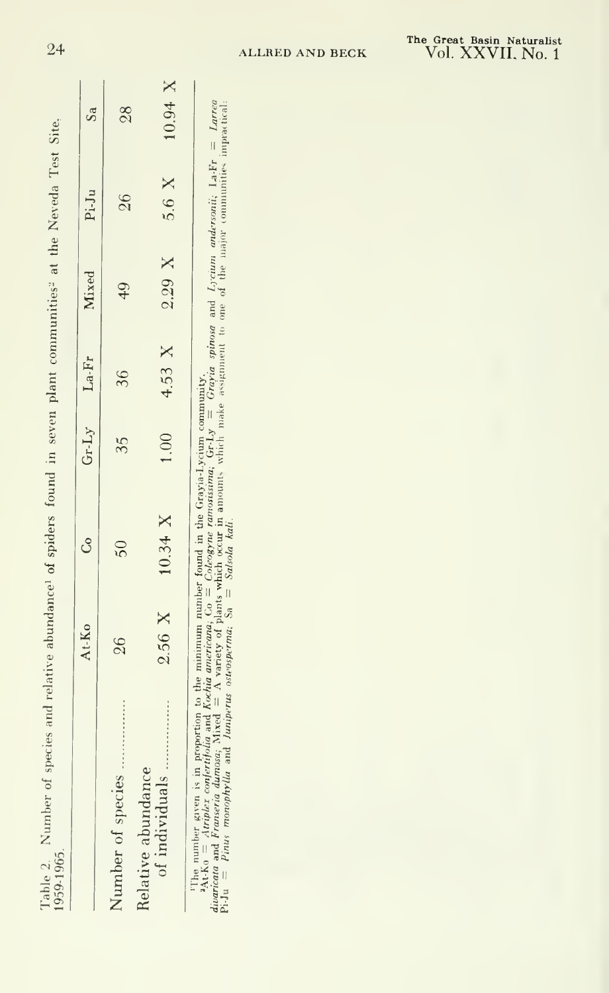| 26<br>$\frac{40}{3}$<br>36<br>35<br>$50\,$<br>26<br>Number of species |                | At-Ko    | $G_0$ $Gr-Ly$ $La-Fr$ Mixed |  | $Pi-Ju$ | Sa            |
|-----------------------------------------------------------------------|----------------|----------|-----------------------------|--|---------|---------------|
| Relative abundance                                                    |                |          |                             |  |         | $\frac{8}{2}$ |
| 5.6 X 10.94 X<br>4.53 X $2.29$ X<br>1.00                              | of individuals | $2.56$ X | 10.34 X                     |  |         |               |